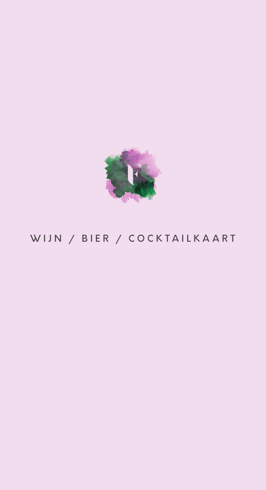

# WIJN / BIER / COCKTAILKAART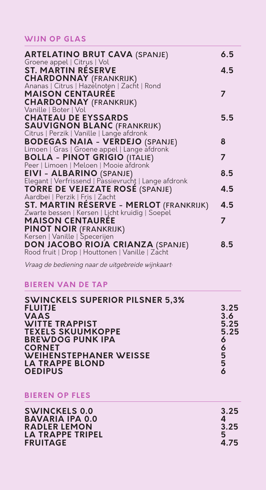#### **WIJN OP GLAS**

| <b>ARTELATINO BRUT CAVA (SPANJE)</b><br>Groene appel   Citrus   Vol                     | 6.5 |
|-----------------------------------------------------------------------------------------|-----|
| <b>ST. MARTIN RESERVE</b>                                                               | 4.5 |
| <b>CHARDONNAY</b> (FRANKRIJK)<br>Ananas   Citrus   Hazelnoten   Zacht   Rond            |     |
|                                                                                         |     |
| <b>MAISON CENTAURÉE</b>                                                                 | 7   |
| <b>CHARDONNAY (FRANKRIJK)</b>                                                           |     |
| Vanille   Boter   Vol                                                                   |     |
| <b>CHATEAU DE EYSSARDS</b>                                                              | 5.5 |
| <b>SAUVIGNON BLANC (FRANKRIJK)</b><br>Citrus   Perzik   Vanille   Lange afdronk         |     |
|                                                                                         |     |
| <b>BODEGAS NAIA - VERDEJO (SPANJE)</b>                                                  | 8   |
| Limoen   Gras   Groene appel   Lange afdronk                                            |     |
| <b>BOLLA - PINOT GRIGIO (ITALIE)</b>                                                    | 7   |
| Peer   Limoen   Meloen   Mooie afdronk                                                  |     |
| <b>EIVI - ALBARINO (SPANJE)</b><br>Elegant   Verfrissend   Passievruchț   Lange afdronk | 8.5 |
|                                                                                         |     |
| <b>TORRE DE VEJEZATE ROSE (SPANJE)</b>                                                  | 4.5 |
| Aardbei   Perzik   Fris   Zacht                                                         |     |
| ST. MARTIN RESERVE - MERLOT (FRANKRIJK)                                                 | 4.5 |
| Zwarte bessen   Kersen   Licht kruidig   Soepel                                         |     |
| <b>MAISON CENTAURÉE</b>                                                                 | 7   |
| <b>PINOT NOIR (FRANKRIJK)</b>                                                           |     |
| Kersen   Vanille   Specerijen                                                           |     |
| DON JACOBO RIOJA CRIANZA (SPANJE)                                                       | 8.5 |
| Rood fruit   Drop   Houttonen   Vanille   Zacht                                         |     |

Vraag de bediening naar de uitgebreide wijnkaart.

## **BIEREN VAN DE TAP**

| <b>SWINCKELS SUPERIOR PILSNER 5,3%</b> |      |
|----------------------------------------|------|
| <b>FLUITJE</b>                         | 3.25 |
| <b>VAAS</b>                            | 3.6  |
| <b>WITTE TRAPPIST</b>                  | 5.25 |
| <b>TEXELS SKUUMKOPPE</b>               | 5.25 |
| <b>BREWDOG PUNK IPA</b>                | 6    |
| <b>CORNET</b>                          | 6    |
| <b>WEIHENSTEPHANER WEISSE</b>          | 5    |
| <b>LA TRAPPE BLOND</b>                 | 5    |
| <b>OEDIPUS</b>                         |      |

**BIEREN OP FLES**

| 3.25<br>3.25<br>5 |
|-------------------|
| 4.75              |
|                   |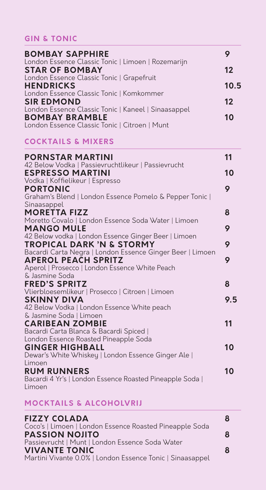## **GIN & TONIC**

| <b>BOMBAY SAPPHIRE</b>                                                       |         |
|------------------------------------------------------------------------------|---------|
| London Essence Classic Tonic   Limoen   Rozemarijn<br><b>STAR OF BOMBAY</b>  | 12      |
| London Essence Classic Tonic   Grapefruit                                    |         |
| <b>HENDRICKS</b><br>London Essence Classic Tonic   Komkommer                 | 10.5    |
| <b>SIR EDMOND</b>                                                            | $12 \,$ |
| London Essence Classic Tonic   Kaneel   Sinaasappel<br><b>BOMBAY BRAMBLE</b> | 10      |
| London Essence Classic Tonic   Citroen   Munt                                |         |

#### **COCKTAILS & MIXERS**

| <b>PORNSTAR MARTINI</b>                                                  | 11  |
|--------------------------------------------------------------------------|-----|
| 42 Below Vodka   Passievruchtlikeur   Passievrucht                       |     |
| <b>ESPRESSO MARTINI</b>                                                  | 10  |
| Vodka   Koffielikeur   Espresso                                          | 9   |
| <b>PORTONIC</b><br>Graham's Blend   London Essence Pomelo & Pepper Tonic |     |
| Sinaasappel                                                              |     |
| <b>MORETTA FIZZ</b>                                                      | 8   |
| Moretto Covalo   London Essence Soda Water   Limoen                      |     |
| <b>MANGO MULE</b>                                                        | 9   |
| 42 Below vodka   London Essence Ginger Beer   Limoen                     |     |
| <b>TROPICAL DARK 'N &amp; STORMY</b>                                     | 9   |
| Bacardi Carta Negra   London Essence Ginger Beer   Limoen                |     |
| <b>APEROL PEACH SPRITZ</b>                                               | 9   |
| Aperol   Prosecco   London Essence White Peach                           |     |
| & Jasmine Soda                                                           |     |
| <b>FRED'S SPRITZ</b>                                                     | 8   |
| Vlierbloesemlikeur   Prosecco   Citroen   Limoen                         | 9.5 |
| <b>SKINNY DIVA</b><br>42 Below Vodka   London Essence White peach        |     |
| & Jasmine Soda   Limoen                                                  |     |
| <b>CARIBEAN ZOMBIE</b>                                                   | 11  |
| Bacardi Carta Blanca & Bacardi Spiced                                    |     |
| London Essence Roasted Pineapple Soda                                    |     |
| <b>GINGER HIGHBALL</b>                                                   | 10  |
| Dewar's White Whiskey   London Essence Ginger Ale                        |     |
| Limoen                                                                   |     |
| <b>RUM RUNNERS</b>                                                       | 10  |
| Bacardi 4 Yr's   London Essence Roasted Pineapple Soda                   |     |
| Limoen                                                                   |     |

## **MOCKTAILS & ALCOHOLVRIJ**

| <b>FIZZY COLADA</b><br>Coco's   Limoen   London Essence Roasted Pineapple Soda | 8 |
|--------------------------------------------------------------------------------|---|
| <b>PASSION NOJITO</b>                                                          | 8 |
| Passievrucht   Munt   London Essence Soda Water<br><b>VIVANTE TONIC</b>        | 8 |
| Martini Vivante 0.0%   London Essence Tonic   Sinaasappel                      |   |